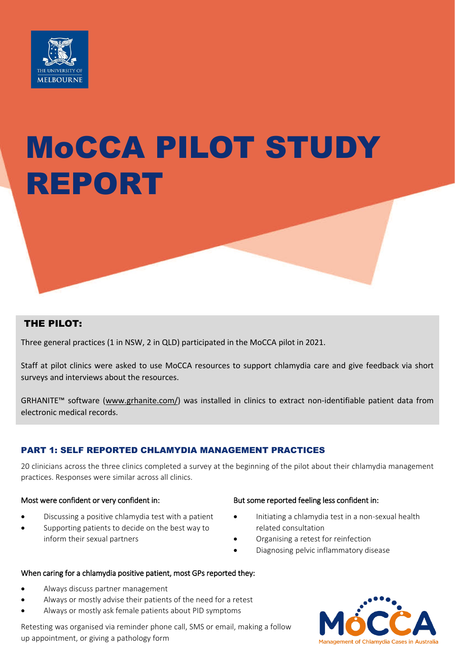

# MoCCA PILOT STUDY REPORT

# THE PILOT:

Three general practices (1 in NSW, 2 in QLD) participated in the MoCCA pilot in 2021.

Staff at pilot clinics were asked to use MoCCA resources to support chlamydia care and give feedback via short surveys and interviews about the resources.

GRHANITE™ software [\(www.grhanite.com/](http://www.grhanite.com/)) was installed in clinics to extract non-identifiable patient data from electronic medical records.

# PART 1: SELF REPORTED CHLAMYDIA MANAGEMENT PRACTICES

20 clinicians across the three clinics completed a survey at the beginning of the pilot about their chlamydia management practices. Responses were similar across all clinics.

- Discussing a positive chlamydia test with a patient
- Supporting patients to decide on the best way to inform their sexual partners

# Most were confident or very confident in: But some reported feeling less confident in:

- Initiating a chlamydia test in a non-sexual health related consultation
- Organising a retest for reinfection
- Diagnosing pelvic inflammatory disease

# When caring for a chlamydia positive patient, most GPs reported they:

- Always discuss partner management
- Always or mostly advise their patients of the need for a retest
- Always or mostly ask female patients about PID symptoms

Retesting was organised via reminder phone call, SMS or email, making a follow up appointment, or giving a pathology form

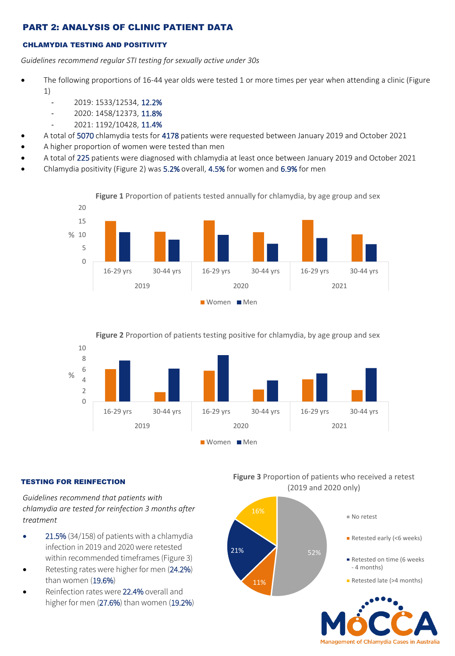# PART 2: ANALYSIS OF CLINIC PATIENT DATA

# CHLAMYDIA TESTING AND POSITIVITY

*Guidelines recommend regular STI testing for sexually active under 30s*

- The following proportions of 16-44 year olds were tested 1 or more times per year when attending a clinic (Figure 1)
	- 2019: 1533/12534, 12.2%
	- 2020: 1458/12373, 11.8%
	- 2021: 1192/10428, 11.4%
- A total of 5070 chlamydia tests for 4178 patients were requested between January 2019 and October 2021
- A higher proportion of women were tested than men
- A total of 225 patients were diagnosed with chlamydia at least once between January 2019 and October 2021
- Chlamydia positivity (Figure 2) was 5.2% overall, 4.5% for women and 6.9% for men





**Figure 2** Proportion of patients testing positive for chlamydia, by age group and sex



# TESTING FOR REINFECTION

*Guidelines recommend that patients with chlamydia are tested for reinfection 3 months after treatment*

- 21.5% (34/158) of patients with a chlamydia infection in 2019 and 2020 were retested within recommended timeframes (Figure 3)
- Retesting rates were higher for men (24.2%) than women (19.6%)
- Reinfection rates were 22.4% overall and higher for men (27.6%) than women (19.2%)

**Figure 3** Proportion of patients who received a retest (2019 and 2020 only)